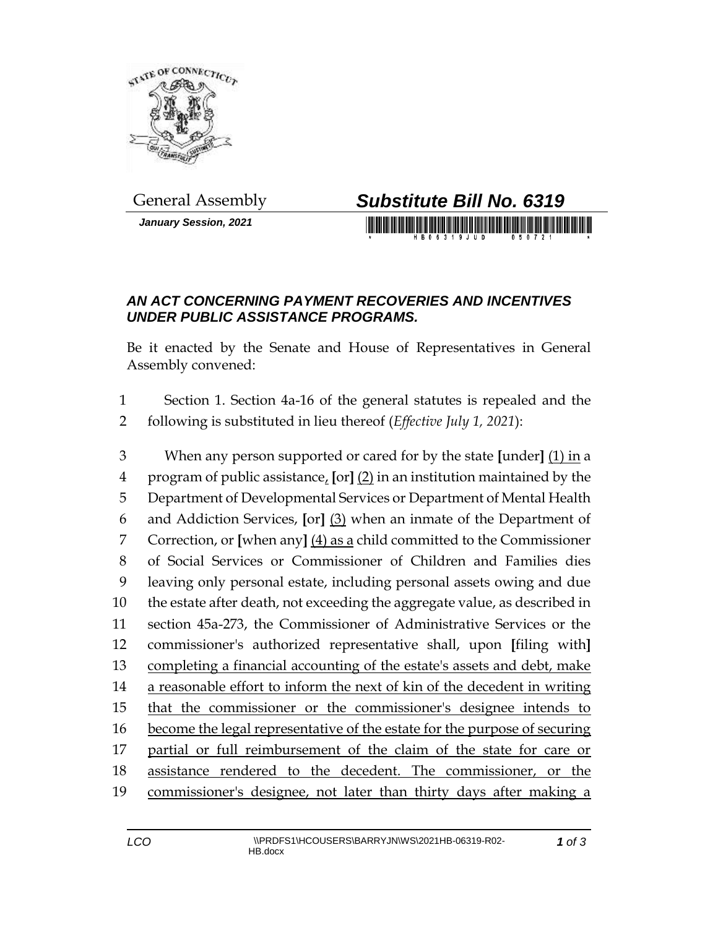

*January Session, 2021*

## General Assembly *Substitute Bill No. 6319*

## *AN ACT CONCERNING PAYMENT RECOVERIES AND INCENTIVES UNDER PUBLIC ASSISTANCE PROGRAMS.*

Be it enacted by the Senate and House of Representatives in General Assembly convened:

 Section 1. Section 4a-16 of the general statutes is repealed and the following is substituted in lieu thereof (*Effective July 1, 2021*):

 When any person supported or cared for by the state **[**under**]** (1) in a program of public assistance, **[**or**]** (2) in an institution maintained by the Department of Developmental Services or Department of Mental Health and Addiction Services, **[**or**]** (3) when an inmate of the Department of Correction, or **[**when any**]** (4) as a child committed to the Commissioner of Social Services or Commissioner of Children and Families dies leaving only personal estate, including personal assets owing and due the estate after death, not exceeding the aggregate value, as described in section 45a-273, the Commissioner of Administrative Services or the commissioner's authorized representative shall, upon **[**filing with**]** completing a financial accounting of the estate's assets and debt, make a reasonable effort to inform the next of kin of the decedent in writing that the commissioner or the commissioner's designee intends to become the legal representative of the estate for the purpose of securing partial or full reimbursement of the claim of the state for care or assistance rendered to the decedent. The commissioner, or the commissioner's designee, not later than thirty days after making a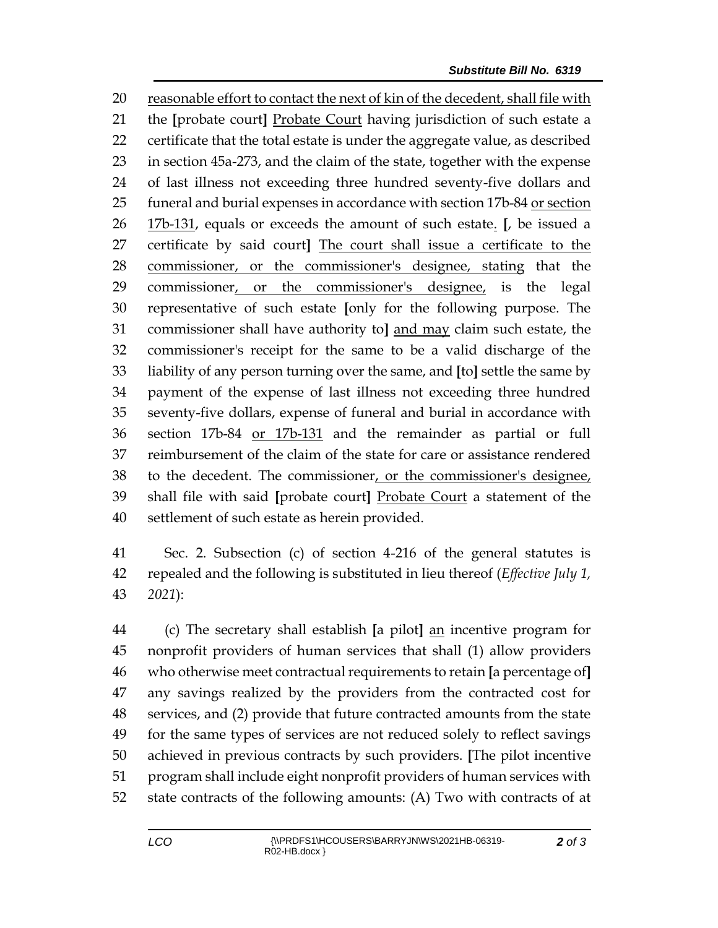reasonable effort to contact the next of kin of the decedent, shall file with the **[**probate court**]** Probate Court having jurisdiction of such estate a certificate that the total estate is under the aggregate value, as described in section 45a-273, and the claim of the state, together with the expense of last illness not exceeding three hundred seventy-five dollars and 25 funeral and burial expenses in accordance with section 17b-84 or section 17b-131, equals or exceeds the amount of such estate. **[**, be issued a certificate by said court**]** The court shall issue a certificate to the commissioner, or the commissioner's designee, stating that the commissioner, or the commissioner's designee, is the legal representative of such estate **[**only for the following purpose. The commissioner shall have authority to**]** and may claim such estate, the commissioner's receipt for the same to be a valid discharge of the liability of any person turning over the same, and **[**to**]** settle the same by payment of the expense of last illness not exceeding three hundred seventy-five dollars, expense of funeral and burial in accordance with section 17b-84 or 17b-131 and the remainder as partial or full reimbursement of the claim of the state for care or assistance rendered to the decedent. The commissioner, or the commissioner's designee, shall file with said **[**probate court**]** Probate Court a statement of the settlement of such estate as herein provided.

 Sec. 2. Subsection (c) of section 4-216 of the general statutes is repealed and the following is substituted in lieu thereof (*Effective July 1, 2021*):

 (c) The secretary shall establish **[**a pilot**]** an incentive program for nonprofit providers of human services that shall (1) allow providers who otherwise meet contractual requirements to retain **[**a percentage of**]** any savings realized by the providers from the contracted cost for services, and (2) provide that future contracted amounts from the state for the same types of services are not reduced solely to reflect savings achieved in previous contracts by such providers. **[**The pilot incentive program shall include eight nonprofit providers of human services with state contracts of the following amounts: (A) Two with contracts of at